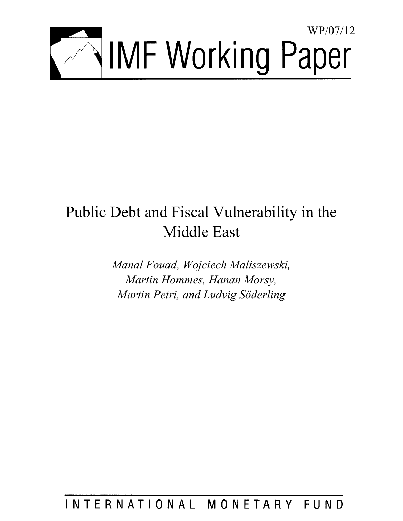

# Public Debt and Fiscal Vulnerability in the Middle East

*Manal Fouad, Wojciech Maliszewski, Martin Hommes, Hanan Morsy, Martin Petri, and Ludvig Söderling* 

## INTERNATIONAL MONETARY FUND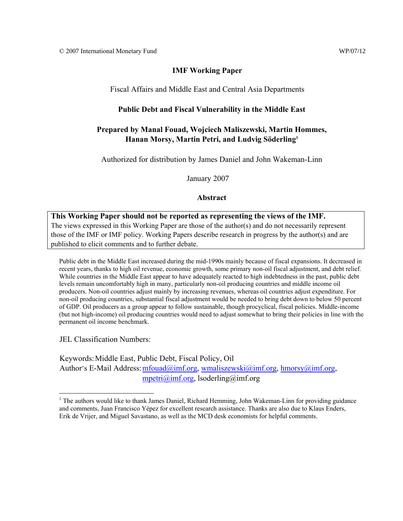## **IMF Working Paper**

Fiscal Affairs and Middle East and Central Asia Departments

## **Public Debt and Fiscal Vulnerability in the Middle East**

## **Prepared by Manal Fouad, Wojciech Maliszewski, Martin Hommes, Hanan Morsy, Martin Petri, and Ludvig Söderling1**

Authorized for distribution by James Daniel and John Wakeman-Linn

January 2007

**Abstract** 

## **This Working Paper should not be reported as representing the views of the IMF.**

The views expressed in this Working Paper are those of the author(s) and do not necessarily represent those of the IMF or IMF policy. Working Papers describe research in progress by the author(s) and are published to elicit comments and to further debate.

Public debt in the Middle East increased during the mid-1990s mainly because of fiscal expansions. It decreased in recent years, thanks to high oil revenue, economic growth, some primary non-oil fiscal adjustment, and debt relief. While countries in the Middle East appear to have adequately reacted to high indebtedness in the past, public debt levels remain uncomfortably high in many, particularly non-oil producing countries and middle income oil producers. Non-oil countries adjust mainly by increasing revenues, whereas oil countries adjust expenditure. For non-oil producing countries, substantial fiscal adjustment would be needed to bring debt down to below 50 percent of GDP. Oil producers as a group appear to follow sustainable, though procyclical, fiscal policies. Middle-income (but not high-income) oil producing countries would need to adjust somewhat to bring their policies in line with the permanent oil income benchmark.

JEL Classification Numbers:

 $\overline{a}$ 

Keywords: Middle East, Public Debt, Fiscal Policy, Oil Author's E-Mail Address: mfouad@imf.org, wmaliszewski@imf.org, hmorsy@imf.org, mpetri@imf.org, lsoderling@imf.org

<sup>&</sup>lt;sup>1</sup> The authors would like to thank James Daniel, Richard Hemming, John Wakeman-Linn for providing guidance and comments, Juan Francisco Yépez for excellent research assistance. Thanks are also due to Klaus Enders, Erik de Vrijer, and Miguel Savastano, as well as the MCD desk economists for helpful comments.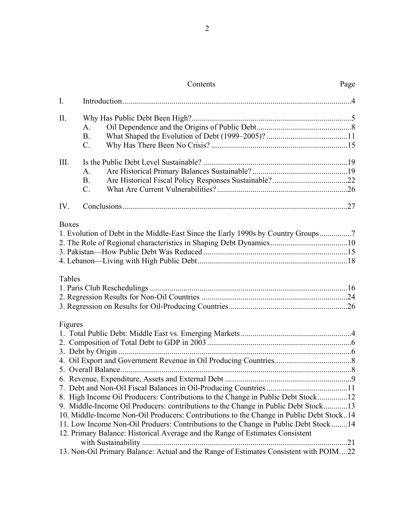## Contents Page

| I.           |                                                                                         |    |
|--------------|-----------------------------------------------------------------------------------------|----|
| Π.           |                                                                                         |    |
|              | A.                                                                                      |    |
|              | <b>B.</b>                                                                               |    |
|              | $\mathcal{C}$ .                                                                         |    |
| III.         |                                                                                         |    |
|              | A.                                                                                      |    |
|              | <b>B.</b>                                                                               |    |
|              | $C_{\cdot}$                                                                             |    |
| IV.          |                                                                                         |    |
|              |                                                                                         |    |
| <b>Boxes</b> | 1. Evolution of Debt in the Middle-East Since the Early 1990s by Country Groups7        |    |
|              |                                                                                         |    |
|              |                                                                                         |    |
|              |                                                                                         |    |
| Tables       |                                                                                         |    |
|              |                                                                                         |    |
|              |                                                                                         |    |
|              |                                                                                         |    |
| Figures      |                                                                                         |    |
|              |                                                                                         |    |
|              |                                                                                         |    |
|              |                                                                                         |    |
|              |                                                                                         |    |
|              |                                                                                         |    |
|              |                                                                                         |    |
|              |                                                                                         |    |
|              | 8. High Income Oil Producers: Contributions to the Change in Public Debt Stock12        |    |
|              | 9. Middle-Income Oil Producers: contributions to the Change in Public Debt Stock13      |    |
|              | 10. Middle-Income Non-Oil Producers: Contributions to the Change in Public Debt Stock14 |    |
|              | 11. Low Income Non-Oil Produers: Contributions to the Change in Public Debt Stock 14    |    |
|              | 12. Primary Balance: Historical Average and the Range of Estimates Consistent           |    |
|              |                                                                                         | 21 |
|              | 13. Non-Oil Primary Balance: Actual and the Range of Estimates Consistent with POIM22   |    |
|              |                                                                                         |    |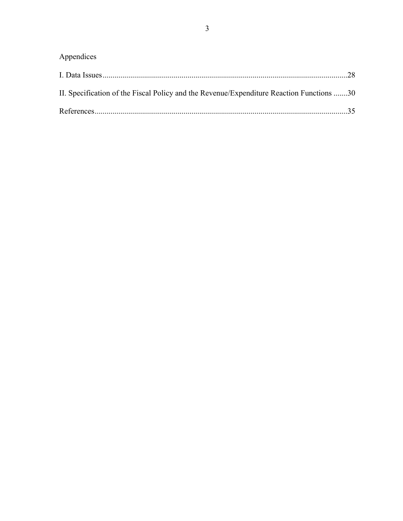| Appendices                                                                               |  |
|------------------------------------------------------------------------------------------|--|
|                                                                                          |  |
| II. Specification of the Fiscal Policy and the Revenue/Expenditure Reaction Functions 30 |  |
|                                                                                          |  |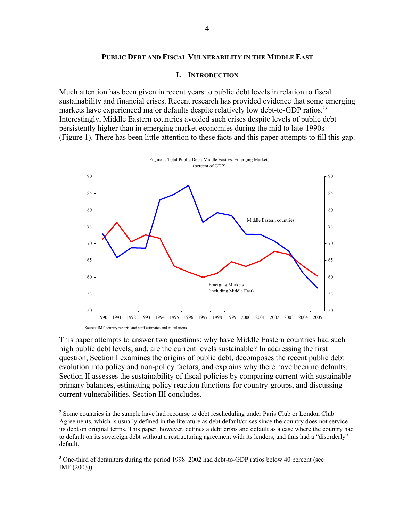#### **PUBLIC DEBT AND FISCAL VULNERABILITY IN THE MIDDLE EAST**

#### **I. INTRODUCTION**

Much attention has been given in recent years to public debt levels in relation to fiscal sustainability and financial crises. Recent research has provided evidence that some emerging markets have experienced major defaults despite relatively low debt-to-GDP ratios.<sup>23</sup> Interestingly, Middle Eastern countries avoided such crises despite levels of public debt persistently higher than in emerging market economies during the mid to late-1990s (Figure 1). There has been little attention to these facts and this paper attempts to fill this gap.



This paper attempts to answer two questions: why have Middle Eastern countries had such high public debt levels; and, are the current levels sustainable? In addressing the first question, Section I examines the origins of public debt, decomposes the recent public debt evolution into policy and non-policy factors, and explains why there have been no defaults. Section II assesses the sustainability of fiscal policies by comparing current with sustainable primary balances, estimating policy reaction functions for country-groups, and discussing current vulnerabilities. Section III concludes.

1

 $2^{2}$  Some countries in the sample have had recourse to debt rescheduling under Paris Club or London Club Agreements, which is usually defined in the literature as debt default/crises since the country does not service its debt on original terms. This paper, however, defines a debt crisis and default as a case where the country had to default on its sovereign debt without a restructuring agreement with its lenders, and thus had a "disorderly" default.

 $3$  One-third of defaulters during the period 1998–2002 had debt-to-GDP ratios below 40 percent (see IMF (2003)).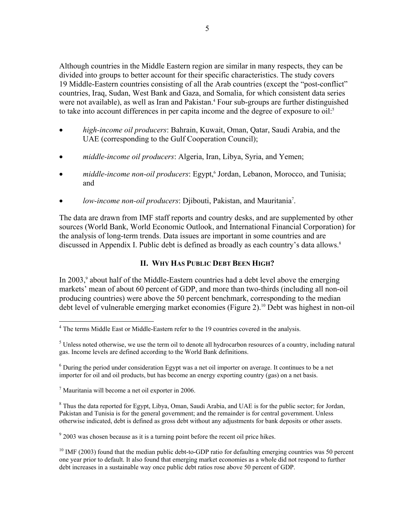Although countries in the Middle Eastern region are similar in many respects, they can be divided into groups to better account for their specific characteristics. The study covers 19 Middle-Eastern countries consisting of all the Arab countries (except the "post-conflict" countries, Iraq, Sudan, West Bank and Gaza, and Somalia, for which consistent data series were not available), as well as Iran and Pakistan.<sup>4</sup> Four sub-groups are further distinguished to take into account differences in per capita income and the degree of exposure to oil:<sup>5</sup>

- *high-income oil producers*: Bahrain, Kuwait, Oman, Qatar, Saudi Arabia, and the UAE (corresponding to the Gulf Cooperation Council);
- *middle-income oil producers*: Algeria, Iran, Libya, Syria, and Yemen;
- *middle-income non-oil producers*: Egypt,<sup>6</sup> Jordan, Lebanon, Morocco, and Tunisia; and
- *low-income non-oil producers*: Djibouti, Pakistan, and Mauritania<sup>7</sup>.

The data are drawn from IMF staff reports and country desks, and are supplemented by other sources (World Bank, World Economic Outlook, and International Financial Corporation) for the analysis of long-term trends. Data issues are important in some countries and are discussed in Appendix I. Public debt is defined as broadly as each country's data allows.<sup>8</sup>

## **II. WHY HAS PUBLIC DEBT BEEN HIGH?**

In 2003,<sup>9</sup> about half of the Middle-Eastern countries had a debt level above the emerging markets' mean of about 60 percent of GDP, and more than two-thirds (including all non-oil producing countries) were above the 50 percent benchmark, corresponding to the median debt level of vulnerable emerging market economies (Figure 2).10 Debt was highest in non-oil

<sup>&</sup>lt;u>.</u> <sup>4</sup> The terms Middle East or Middle-Eastern refer to the 19 countries covered in the analysis.

 $<sup>5</sup>$  Unless noted otherwise, we use the term oil to denote all hydrocarbon resources of a country, including natural</sup> gas. Income levels are defined according to the World Bank definitions.

 $6$  During the period under consideration Egypt was a net oil importer on average. It continues to be a net importer for oil and oil products, but has become an energy exporting country (gas) on a net basis.

 $7$  Mauritania will become a net oil exporter in 2006.

<sup>&</sup>lt;sup>8</sup> Thus the data reported for Egypt, Libya, Oman, Saudi Arabia, and UAE is for the public sector; for Jordan, Pakistan and Tunisia is for the general government; and the remainder is for central government. Unless otherwise indicated, debt is defined as gross debt without any adjustments for bank deposits or other assets.

 $9^9$  2003 was chosen because as it is a turning point before the recent oil price hikes.

<sup>&</sup>lt;sup>10</sup> IMF (2003) found that the median public debt-to-GDP ratio for defaulting emerging countries was 50 percent one year prior to default. It also found that emerging market economies as a whole did not respond to further debt increases in a sustainable way once public debt ratios rose above 50 percent of GDP.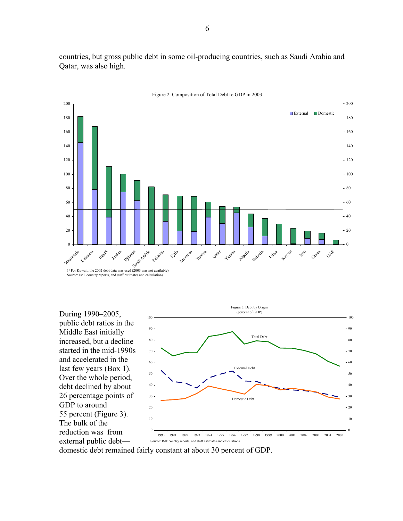countries, but gross public debt in some oil-producing countries, such as Saudi Arabia and Qatar, was also high.



Figure 2. Composition of Total Debt to GDP in 2003

During 1990–2005, public debt ratios in the Middle East initially increased, but a decline started in the mid-1990s and accelerated in the last few years (Box 1). Over the whole period, debt declined by about 26 percentage points of GDP to around 55 percent (Figure 3). The bulk of the reduction was from external public debt—



domestic debt remained fairly constant at about 30 percent of GDP.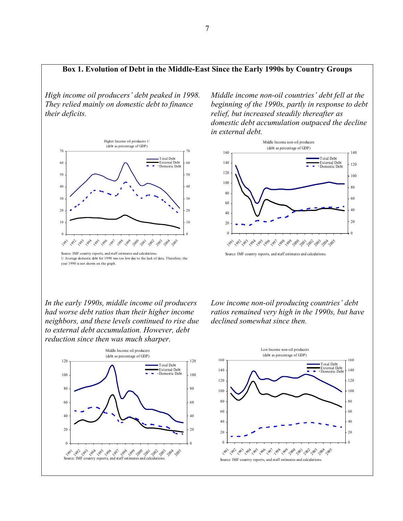## **Box 1. Evolution of Debt in the Middle-East Since the Early 1990s by Country Groups**

*High income oil producers' debt peaked in 1998. They relied mainly on domestic debt to finance their deficits.*



1/ Average domestic debt for 1990 was too low due to the lack of data. Therefore, the year 1990 is not shown on the graph.

*Middle income non-oil countries' debt fell at the beginning of the 1990s, partly in response to debt relief, but increased steadily thereafter as domestic debt accumulation outpaced the decline in external debt.* 



*In the early 1990s, middle income oil producers had worse debt ratios than their higher income neighbors, and these levels continued to rise due to external debt accumulation. However, debt reduction since then was much sharper.* 

*Low income non-oil producing countries' debt ratios remained very high in the 1990s, but have declined somewhat since then.* 



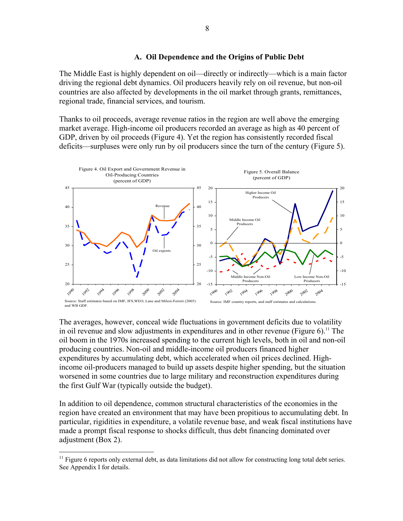#### **A. Oil Dependence and the Origins of Public Debt**

The Middle East is highly dependent on oil—directly or indirectly—which is a main factor driving the regional debt dynamics. Oil producers heavily rely on oil revenue, but non-oil countries are also affected by developments in the oil market through grants, remittances, regional trade, financial services, and tourism.

Thanks to oil proceeds, average revenue ratios in the region are well above the emerging market average. High-income oil producers recorded an average as high as 40 percent of GDP, driven by oil proceeds (Figure 4). Yet the region has consistently recorded fiscal deficits—surpluses were only run by oil producers since the turn of the century (Figure 5).



The averages, however, conceal wide fluctuations in government deficits due to volatility in oil revenue and slow adjustments in expenditures and in other revenue (Figure  $6$ ).<sup>11</sup> The oil boom in the 1970s increased spending to the current high levels, both in oil and non-oil producing countries. Non-oil and middle-income oil producers financed higher expenditures by accumulating debt, which accelerated when oil prices declined. Highincome oil-producers managed to build up assets despite higher spending, but the situation worsened in some countries due to large military and reconstruction expenditures during the first Gulf War (typically outside the budget).

In addition to oil dependence, common structural characteristics of the economies in the region have created an environment that may have been propitious to accumulating debt. In particular, rigidities in expenditure, a volatile revenue base, and weak fiscal institutions have made a prompt fiscal response to shocks difficult, thus debt financing dominated over adjustment (Box 2).

1

 $11$  Figure 6 reports only external debt, as data limitations did not allow for constructing long total debt series. See Appendix I for details.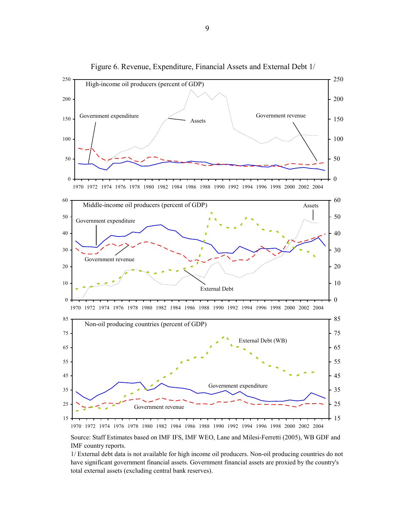

Figure 6. Revenue, Expenditure, Financial Assets and External Debt 1/

Source: Staff Estimates based on IMF IFS, IMF WEO, Lane and Milesi-Ferretti (2005), WB GDF and IMF country reports.

1/ External debt data is not available for high income oil producers. Non-oil producing countries do not have significant government financial assets. Government financial assets are proxied by the country's total external assets (excluding central bank reserves).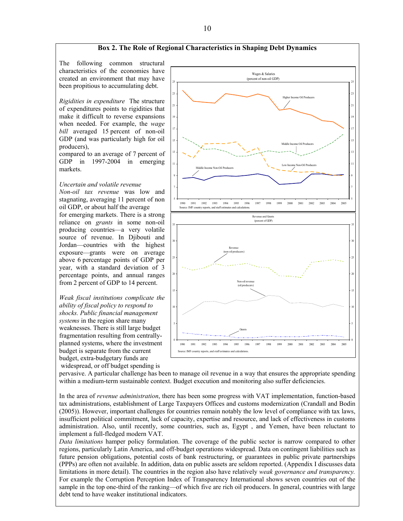

pervasive. A particular challenge has been to manage oil revenue in a way that ensures the appropriate spending within a medium-term sustainable context. Budget execution and monitoring also suffer deficiencies.

In the area of *revenue administration*, there has been some progress with VAT implementation, function-based tax administrations, establishment of Large Taxpayers Offices and customs modernization (Crandall and Bodin (2005)). However, important challenges for countries remain notably the low level of compliance with tax laws, insufficient political commitment, lack of capacity, expertise and resource, and lack of effectiveness in customs administration. Also, until recently, some countries, such as, Egypt , and Yemen, have been reluctant to implement a full-fledged modern VAT.

*Data limitations* hamper policy formulation. The coverage of the public sector is narrow compared to other regions, particularly Latin America, and off-budget operations widespread. Data on contingent liabilities such as future pension obligations, potential costs of bank restructuring, or guarantees in public private partnerships (PPPs) are often not available. In addition, data on public assets are seldom reported. (Appendix I discusses data limitations in more detail). The countries in the region also have relatively *weak governance and transparency.* For example the Corruption Perception Index of Transparency International shows seven countries out of the sample in the top one-third of the ranking—of which five are rich oil producers. In general, countries with large debt tend to have weaker institutional indicators.

10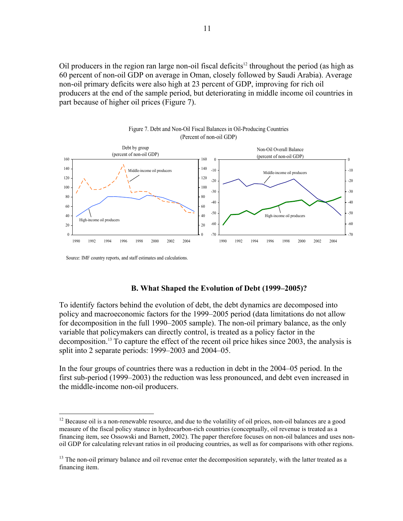Oil producers in the region ran large non-oil fiscal deficits<sup>12</sup> throughout the period (as high as 60 percent of non-oil GDP on average in Oman, closely followed by Saudi Arabia). Average non-oil primary deficits were also high at 23 percent of GDP, improving for rich oil producers at the end of the sample period, but deteriorating in middle income oil countries in part because of higher oil prices (Figure 7).





Source: IMF country reports, and staff estimates and calculations.

 $\overline{a}$ 

#### **B. What Shaped the Evolution of Debt (1999–2005)?**

To identify factors behind the evolution of debt, the debt dynamics are decomposed into policy and macroeconomic factors for the 1999–2005 period (data limitations do not allow for decomposition in the full 1990–2005 sample). The non-oil primary balance, as the only variable that policymakers can directly control, is treated as a policy factor in the decomposition.13 To capture the effect of the recent oil price hikes since 2003, the analysis is split into 2 separate periods: 1999–2003 and 2004–05.

In the four groups of countries there was a reduction in debt in the 2004–05 period. In the first sub-period (1999–2003) the reduction was less pronounced, and debt even increased in the middle-income non-oil producers.

 $12$  Because oil is a non-renewable resource, and due to the volatility of oil prices, non-oil balances are a good measure of the fiscal policy stance in hydrocarbon-rich countries (conceptually, oil revenue is treated as a financing item, see Ossowski and Barnett, 2002). The paper therefore focuses on non-oil balances and uses nonoil GDP for calculating relevant ratios in oil producing countries, as well as for comparisons with other regions.

<sup>&</sup>lt;sup>13</sup> The non-oil primary balance and oil revenue enter the decomposition separately, with the latter treated as a financing item.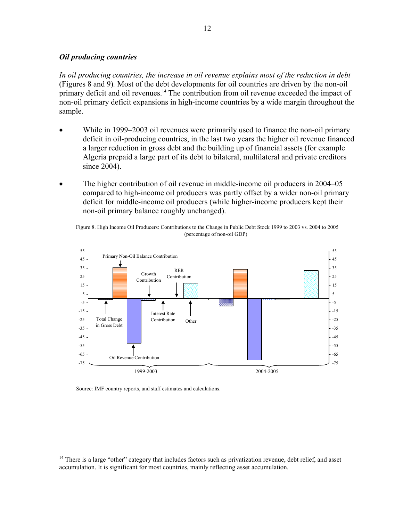### *Oil producing countries*

*In oil producing countries, the increase in oil revenue explains most of the reduction in debt*  (Figures 8 and 9)*.* Most of the debt developments for oil countries are driven by the non-oil primary deficit and oil revenues.<sup>14</sup> The contribution from oil revenue exceeded the impact of non-oil primary deficit expansions in high-income countries by a wide margin throughout the sample.

- While in 1999–2003 oil revenues were primarily used to finance the non-oil primary deficit in oil-producing countries, in the last two years the higher oil revenue financed a larger reduction in gross debt and the building up of financial assets (for example Algeria prepaid a large part of its debt to bilateral, multilateral and private creditors since 2004).
- The higher contribution of oil revenue in middle-income oil producers in 2004–05 compared to high-income oil producers was partly offset by a wider non-oil primary deficit for middle-income oil producers (while higher-income producers kept their non-oil primary balance roughly unchanged).

 (percentage of non-oil GDP) Figure 8. High Income Oil Producers: Contributions to the Change in Public Debt Stock 1999 to 2003 vs. 2004 to 2005



Source: IMF country reports, and staff estimates and calculations.

 $\overline{a}$ 

<sup>&</sup>lt;sup>14</sup> There is a large "other" category that includes factors such as privatization revenue, debt relief, and asset accumulation. It is significant for most countries, mainly reflecting asset accumulation.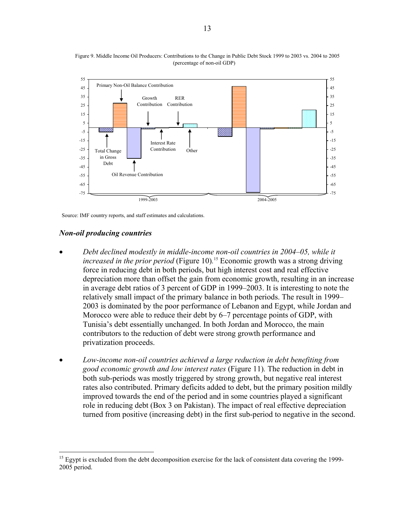

(percentage of non-oil GDP) Figure 9. Middle Income Oil Producers: Contributions to the Change in Public Debt Stock 1999 to 2003 vs. 2004 to 2005

Source: IMF country reports, and staff estimates and calculations.

#### *Non-oil producing countries*

 $\overline{a}$ 

- *Debt declined modestly in middle-income non-oil countries in 2004–05, while it increased in the prior period* (Figure 10)*.* 15 Economic growth was a strong driving force in reducing debt in both periods, but high interest cost and real effective depreciation more than offset the gain from economic growth, resulting in an increase in average debt ratios of 3 percent of GDP in 1999–2003. It is interesting to note the relatively small impact of the primary balance in both periods. The result in 1999– 2003 is dominated by the poor performance of Lebanon and Egypt, while Jordan and Morocco were able to reduce their debt by 6–7 percentage points of GDP, with Tunisia's debt essentially unchanged. In both Jordan and Morocco, the main contributors to the reduction of debt were strong growth performance and privatization proceeds.
- *Low-income non-oil countries achieved a large reduction in debt benefiting from good economic growth and low interest rates* (Figure 11)*.* The reduction in debt in both sub-periods was mostly triggered by strong growth, but negative real interest rates also contributed. Primary deficits added to debt, but the primary position mildly improved towards the end of the period and in some countries played a significant role in reducing debt (Box 3 on Pakistan). The impact of real effective depreciation turned from positive (increasing debt) in the first sub-period to negative in the second.

<sup>&</sup>lt;sup>15</sup> Egypt is excluded from the debt decomposition exercise for the lack of consistent data covering the 1999-2005 period.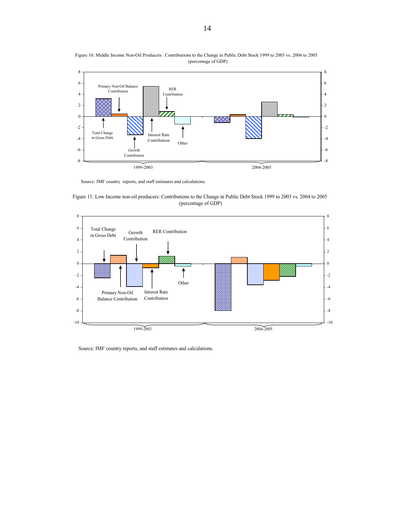

 (percentage of GDP) Figure 10. Middle Income Non-Oil Producers : Contributions to the Change in Public Debt Stock 1999 to 2003 vs. 2004 to 2005

Source: IMF country reports, and staff estimates and calculations.





Source: IMF country reports, and staff estimates and calculations.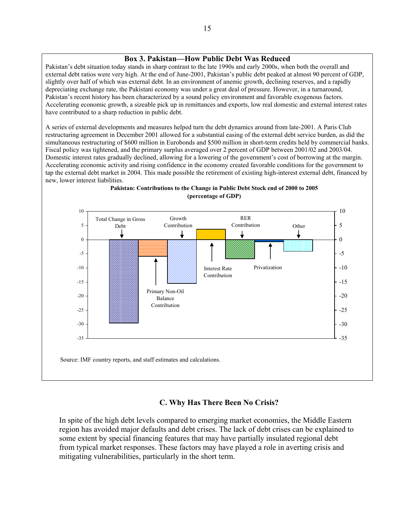### **Box 3. Pakistan—How Public Debt Was Reduced**

Pakistan's debt situation today stands in sharp contrast to the late 1990s and early 2000s, when both the overall and external debt ratios were very high. At the end of June-2001, Pakistan's public debt peaked at almost 90 percent of GDP, slightly over half of which was external debt. In an environment of anemic growth, declining reserves, and a rapidly depreciating exchange rate, the Pakistani economy was under a great deal of pressure. However, in a turnaround, Pakistan's recent history has been characterized by a sound policy environment and favorable exogenous factors. Accelerating economic growth, a sizeable pick up in remittances and exports, low real domestic and external interest rates have contributed to a sharp reduction in public debt.

A series of external developments and measures helped turn the debt dynamics around from late-2001. A Paris Club restructuring agreement in December 2001 allowed for a substantial easing of the external debt service burden, as did the simultaneous restructuring of \$600 million in Eurobonds and \$500 million in short-term credits held by commercial banks. Fiscal policy was tightened, and the primary surplus averaged over 2 percent of GDP between 2001/02 and 2003/04. Domestic interest rates gradually declined, allowing for a lowering of the government's cost of borrowing at the margin. Accelerating economic activity and rising confidence in the economy created favorable conditions for the government to tap the external debt market in 2004. This made possible the retirement of existing high-interest external debt, financed by new, lower interest liabilities.



#### **Pakistan: Contributions to the Change in Public Debt Stock end of 2000 to 2005 (percentage of GDP)**

### **C. Why Has There Been No Crisis?**

In spite of the high debt levels compared to emerging market economies, the Middle Eastern region has avoided major defaults and debt crises. The lack of debt crises can be explained to some extent by special financing features that may have partially insulated regional debt from typical market responses. These factors may have played a role in averting crisis and mitigating vulnerabilities, particularly in the short term.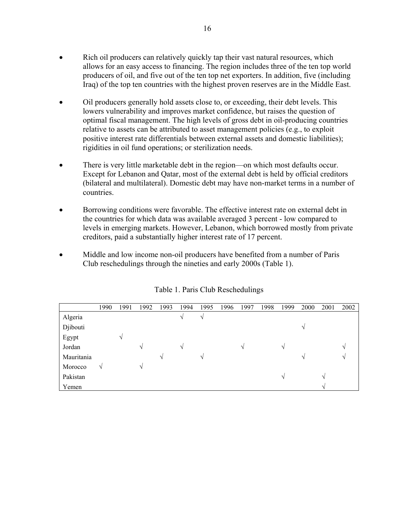- Rich oil producers can relatively quickly tap their vast natural resources, which allows for an easy access to financing. The region includes three of the ten top world producers of oil, and five out of the ten top net exporters. In addition, five (including Iraq) of the top ten countries with the highest proven reserves are in the Middle East.
- Oil producers generally hold assets close to, or exceeding, their debt levels. This lowers vulnerability and improves market confidence, but raises the question of optimal fiscal management. The high levels of gross debt in oil-producing countries relative to assets can be attributed to asset management policies (e.g., to exploit positive interest rate differentials between external assets and domestic liabilities); rigidities in oil fund operations; or sterilization needs.
- There is very little marketable debt in the region—on which most defaults occur. Except for Lebanon and Qatar, most of the external debt is held by official creditors (bilateral and multilateral). Domestic debt may have non-market terms in a number of countries.
- Borrowing conditions were favorable. The effective interest rate on external debt in the countries for which data was available averaged 3 percent - low compared to levels in emerging markets. However, Lebanon, which borrowed mostly from private creditors, paid a substantially higher interest rate of 17 percent.
- Middle and low income non-oil producers have benefited from a number of Paris Club reschedulings through the nineties and early 2000s (Table 1).

|            | 1990      | 1991 | 1992       | 1993          | 1994          | 1995          | 1996 | 1997 | 1998 | 1999 | 2000          | 2001              | 2002 |
|------------|-----------|------|------------|---------------|---------------|---------------|------|------|------|------|---------------|-------------------|------|
| Algeria    |           |      |            |               | V             | $\mathcal{N}$ |      |      |      |      |               |                   |      |
| Djibouti   |           |      |            |               |               |               |      |      |      |      | $\gamma$      |                   |      |
| Egypt      |           | ٦    |            |               |               |               |      |      |      |      |               |                   |      |
| Jordan     |           |      | $\sqrt{ }$ |               | $\mathcal{N}$ |               |      | N    |      | V    |               |                   | N    |
| Mauritania |           |      |            | $\mathcal{N}$ |               | $\mathcal{N}$ |      |      |      |      | $\mathcal{N}$ |                   | ٦Ι   |
| Morocco    | $\sqrt{}$ |      | V          |               |               |               |      |      |      |      |               |                   |      |
| Pakistan   |           |      |            |               |               |               |      |      |      | N    |               | $\mathcal{N}$     |      |
| Yemen      |           |      |            |               |               |               |      |      |      |      |               | $\mathcal{L}_{l}$ |      |

Table 1. Paris Club Reschedulings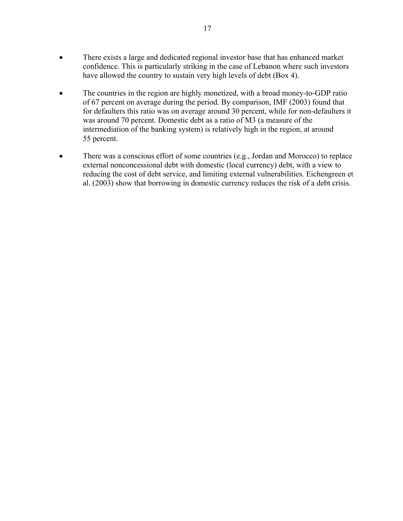- There exists a large and dedicated regional investor base that has enhanced market confidence. This is particularly striking in the case of Lebanon where such investors have allowed the country to sustain very high levels of debt (Box 4).
- The countries in the region are highly monetized, with a broad money-to-GDP ratio of 67 percent on average during the period. By comparison, IMF (2003) found that for defaulters this ratio was on average around 30 percent, while for non-defaulters it was around 70 percent. Domestic debt as a ratio of M3 (a measure of the intermediation of the banking system) is relatively high in the region, at around 55 percent.
- There was a conscious effort of some countries (e.g., Jordan and Morocco) to replace external nonconcessional debt with domestic (local currency) debt, with a view to reducing the cost of debt service, and limiting external vulnerabilities. Eichengreen et al. (2003) show that borrowing in domestic currency reduces the risk of a debt crisis.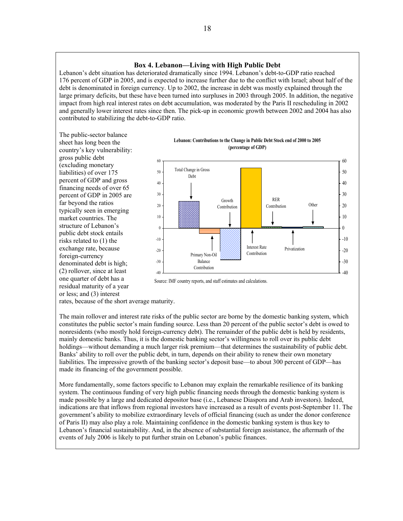#### **Box 4. Lebanon—Living with High Public Debt**

Lebanon's debt situation has deteriorated dramatically since 1994. Lebanon's debt-to-GDP ratio reached 176 percent of GDP in 2005, and is expected to increase further due to the conflict with Israel; about half of the debt is denominated in foreign currency. Up to 2002, the increase in debt was mostly explained through the large primary deficits, but these have been turned into surpluses in 2003 through 2005. In addition, the negative impact from high real interest rates on debt accumulation, was moderated by the Paris II rescheduling in 2002 and generally lower interest rates since then. The pick-up in economic growth between 2002 and 2004 has also contributed to stabilizing the debt-to-GDP ratio.

The public-sector balance sheet has long been the country's key vulnerability: gross public debt (excluding monetary liabilities) of over 175 percent of GDP and gross financing needs of over 65 percent of GDP in 2005 are far beyond the ratios typically seen in emerging market countries. The structure of Lebanon's public debt stock entails risks related to (1) the exchange rate, because foreign-currency denominated debt is high; (2) rollover, since at least one quarter of debt has a residual maturity of a year or less; and (3) interest





Source: IMF country reports, and staff estimates and calculations.

rates, because of the short average maturity.

The main rollover and interest rate risks of the public sector are borne by the domestic banking system, which constitutes the public sector's main funding source. Less than 20 percent of the public sector's debt is owed to nonresidents (who mostly hold foreign-currency debt). The remainder of the public debt is held by residents, mainly domestic banks. Thus, it is the domestic banking sector's willingness to roll over its public debt holdings—without demanding a much larger risk premium—that determines the sustainability of public debt. Banks' ability to roll over the public debt, in turn, depends on their ability to renew their own monetary liabilities. The impressive growth of the banking sector's deposit base—to about 300 percent of GDP—has made its financing of the government possible.

More fundamentally, some factors specific to Lebanon may explain the remarkable resilience of its banking system. The continuous funding of very high public financing needs through the domestic banking system is made possible by a large and dedicated depositor base (i.e., Lebanese Diaspora and Arab investors). Indeed, indications are that inflows from regional investors have increased as a result of events post-September 11. The government's ability to mobilize extraordinary levels of official financing (such as under the donor conference of Paris II) may also play a role. Maintaining confidence in the domestic banking system is thus key to Lebanon's financial sustainability. And, in the absence of substantial foreign assistance, the aftermath of the events of July 2006 is likely to put further strain on Lebanon's public finances.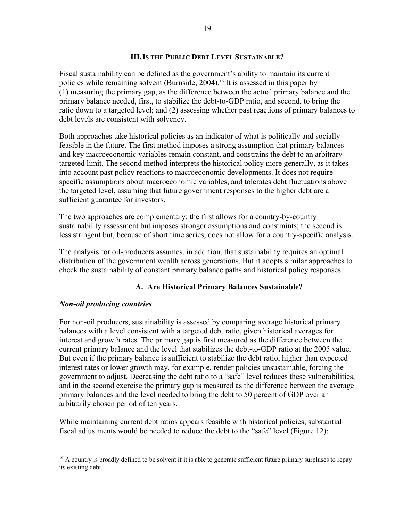## **III.IS THE PUBLIC DEBT LEVEL SUSTAINABLE?**

Fiscal sustainability can be defined as the government's ability to maintain its current policies while remaining solvent (Burnside, 2004).16 It is assessed in this paper by (1) measuring the primary gap, as the difference between the actual primary balance and the primary balance needed, first, to stabilize the debt-to-GDP ratio, and second, to bring the ratio down to a targeted level; and (2) assessing whether past reactions of primary balances to debt levels are consistent with solvency.

Both approaches take historical policies as an indicator of what is politically and socially feasible in the future. The first method imposes a strong assumption that primary balances and key macroeconomic variables remain constant, and constrains the debt to an arbitrary targeted limit. The second method interprets the historical policy more generally, as it takes into account past policy reactions to macroeconomic developments. It does not require specific assumptions about macroeconomic variables, and tolerates debt fluctuations above the targeted level, assuming that future government responses to the higher debt are a sufficient guarantee for investors.

The two approaches are complementary: the first allows for a country-by-country sustainability assessment but imposes stronger assumptions and constraints; the second is less stringent but, because of short time series, does not allow for a country-specific analysis.

The analysis for oil-producers assumes, in addition, that sustainability requires an optimal distribution of the government wealth across generations. But it adopts similar approaches to check the sustainability of constant primary balance paths and historical policy responses.

## **A. Are Historical Primary Balances Sustainable?**

## *Non-oil producing countries*

1

For non-oil producers, sustainability is assessed by comparing average historical primary balances with a level consistent with a targeted debt ratio, given historical averages for interest and growth rates. The primary gap is first measured as the difference between the current primary balance and the level that stabilizes the debt-to-GDP ratio at the 2005 value. But even if the primary balance is sufficient to stabilize the debt ratio, higher than expected interest rates or lower growth may, for example, render policies unsustainable, forcing the government to adjust. Decreasing the debt ratio to a "safe" level reduces these vulnerabilities, and in the second exercise the primary gap is measured as the difference between the average primary balances and the level needed to bring the debt to 50 percent of GDP over an arbitrarily chosen period of ten years.

While maintaining current debt ratios appears feasible with historical policies, substantial fiscal adjustments would be needed to reduce the debt to the "safe" level (Figure 12):

<sup>&</sup>lt;sup>16</sup> A country is broadly defined to be solvent if it is able to generate sufficient future primary surpluses to repay its existing debt.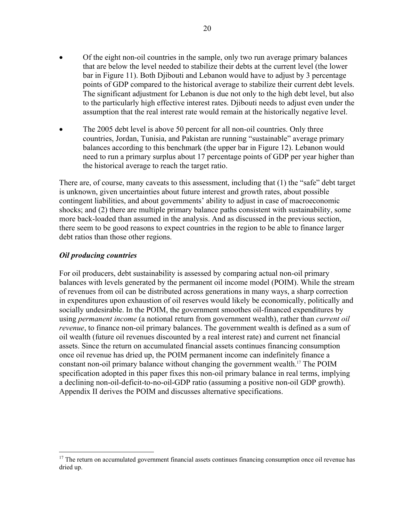- Of the eight non-oil countries in the sample, only two run average primary balances that are below the level needed to stabilize their debts at the current level (the lower bar in Figure 11). Both Djibouti and Lebanon would have to adjust by 3 percentage points of GDP compared to the historical average to stabilize their current debt levels. The significant adjustment for Lebanon is due not only to the high debt level, but also to the particularly high effective interest rates. Djibouti needs to adjust even under the assumption that the real interest rate would remain at the historically negative level.
- The 2005 debt level is above 50 percent for all non-oil countries. Only three countries, Jordan, Tunisia, and Pakistan are running "sustainable" average primary balances according to this benchmark (the upper bar in Figure 12). Lebanon would need to run a primary surplus about 17 percentage points of GDP per year higher than the historical average to reach the target ratio.

There are, of course, many caveats to this assessment, including that (1) the "safe" debt target is unknown, given uncertainties about future interest and growth rates, about possible contingent liabilities, and about governments' ability to adjust in case of macroeconomic shocks; and (2) there are multiple primary balance paths consistent with sustainability, some more back-loaded than assumed in the analysis. And as discussed in the previous section, there seem to be good reasons to expect countries in the region to be able to finance larger debt ratios than those other regions.

## *Oil producing countries*

1

For oil producers, debt sustainability is assessed by comparing actual non-oil primary balances with levels generated by the permanent oil income model (POIM). While the stream of revenues from oil can be distributed across generations in many ways, a sharp correction in expenditures upon exhaustion of oil reserves would likely be economically, politically and socially undesirable. In the POIM, the government smoothes oil-financed expenditures by using *permanent income* (a notional return from government wealth), rather than *current oil revenue*, to finance non-oil primary balances. The government wealth is defined as a sum of oil wealth (future oil revenues discounted by a real interest rate) and current net financial assets. Since the return on accumulated financial assets continues financing consumption once oil revenue has dried up, the POIM permanent income can indefinitely finance a constant non-oil primary balance without changing the government wealth.17 The POIM specification adopted in this paper fixes this non-oil primary balance in real terms, implying a declining non-oil-deficit-to-no-oil-GDP ratio (assuming a positive non-oil GDP growth). Appendix II derives the POIM and discusses alternative specifications.

<sup>&</sup>lt;sup>17</sup> The return on accumulated government financial assets continues financing consumption once oil revenue has dried up.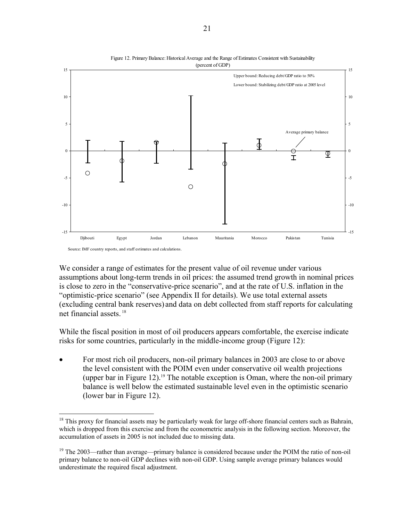



While the fiscal position in most of oil producers appears comfortable, the exercise indicate risks for some countries, particularly in the middle-income group (Figure 12):

• For most rich oil producers, non-oil primary balances in 2003 are close to or above the level consistent with the POIM even under conservative oil wealth projections (upper bar in Figure 12).<sup>19</sup> The notable exception is Oman, where the non-oil primary balance is well below the estimated sustainable level even in the optimistic scenario (lower bar in Figure 12).

 $\overline{a}$ 

We consider a range of estimates for the present value of oil revenue under various assumptions about long-term trends in oil prices: the assumed trend growth in nominal prices is close to zero in the "conservative-price scenario", and at the rate of U.S. inflation in the "optimistic-price scenario" (see Appendix II for details). We use total external assets (excluding central bank reserves) and data on debt collected from staff reports for calculating net financial assets. 18

 $18$  This proxy for financial assets may be particularly weak for large off-shore financial centers such as Bahrain, which is dropped from this exercise and from the econometric analysis in the following section. Moreover, the accumulation of assets in 2005 is not included due to missing data.

<sup>&</sup>lt;sup>19</sup> The 2003—rather than average—primary balance is considered because under the POIM the ratio of non-oil primary balance to non-oil GDP declines with non-oil GDP. Using sample average primary balances would underestimate the required fiscal adjustment.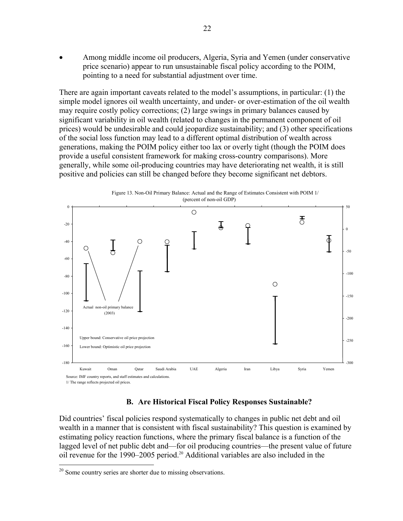• Among middle income oil producers, Algeria, Syria and Yemen (under conservative price scenario) appear to run unsustainable fiscal policy according to the POIM, pointing to a need for substantial adjustment over time.

There are again important caveats related to the model's assumptions, in particular: (1) the simple model ignores oil wealth uncertainty, and under- or over-estimation of the oil wealth may require costly policy corrections; (2) large swings in primary balances caused by significant variability in oil wealth (related to changes in the permanent component of oil prices) would be undesirable and could jeopardize sustainability; and (3) other specifications of the social loss function may lead to a different optimal distribution of wealth across generations, making the POIM policy either too lax or overly tight (though the POIM does provide a useful consistent framework for making cross-country comparisons). More generally, while some oil-producing countries may have deteriorating net wealth, it is still positive and policies can still be changed before they become significant net debtors.



#### **B. Are Historical Fiscal Policy Responses Sustainable?**

Did countries' fiscal policies respond systematically to changes in public net debt and oil wealth in a manner that is consistent with fiscal sustainability? This question is examined by estimating policy reaction functions, where the primary fiscal balance is a function of the lagged level of net public debt and—for oil producing countries—the present value of future oil revenue for the 1990–2005 period.20 Additional variables are also included in the

1

 $20$  Some country series are shorter due to missing observations.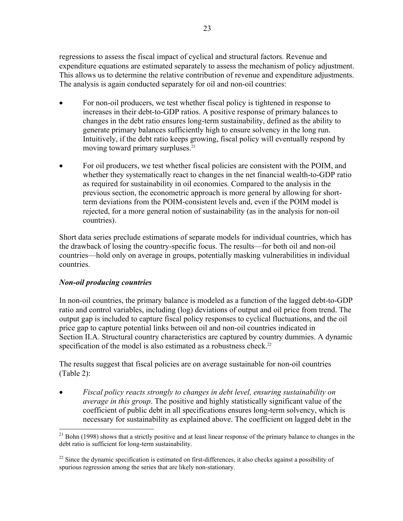regressions to assess the fiscal impact of cyclical and structural factors. Revenue and expenditure equations are estimated separately to assess the mechanism of policy adjustment. This allows us to determine the relative contribution of revenue and expenditure adjustments. The analysis is again conducted separately for oil and non-oil countries:

- For non-oil producers, we test whether fiscal policy is tightened in response to increases in their debt-to-GDP ratios. A positive response of primary balances to changes in the debt ratio ensures long-term sustainability, defined as the ability to generate primary balances sufficiently high to ensure solvency in the long run. Intuitively, if the debt ratio keeps growing, fiscal policy will eventually respond by moving toward primary surpluses.<sup>21</sup>
- For oil producers, we test whether fiscal policies are consistent with the POIM, and whether they systematically react to changes in the net financial wealth-to-GDP ratio as required for sustainability in oil economies. Compared to the analysis in the previous section, the econometric approach is more general by allowing for shortterm deviations from the POIM-consistent levels and, even if the POIM model is rejected, for a more general notion of sustainability (as in the analysis for non-oil countries).

Short data series preclude estimations of separate models for individual countries, which has the drawback of losing the country-specific focus. The results—for both oil and non-oil countries—hold only on average in groups, potentially masking vulnerabilities in individual countries.

## *Non-oil producing countries*

 $\overline{a}$ 

In non-oil countries, the primary balance is modeled as a function of the lagged debt-to-GDP ratio and control variables, including (log) deviations of output and oil price from trend. The output gap is included to capture fiscal policy responses to cyclical fluctuations, and the oil price gap to capture potential links between oil and non-oil countries indicated in Section II.A. Structural country characteristics are captured by country dummies. A dynamic specification of the model is also estimated as a robustness check.<sup>22</sup>

The results suggest that fiscal policies are on average sustainable for non-oil countries (Table 2):

• *Fiscal policy reacts strongly to changes in debt level, ensuring sustainability on average in this group*. The positive and highly statistically significant value of the coefficient of public debt in all specifications ensures long-term solvency, which is necessary for sustainability as explained above. The coefficient on lagged debt in the

<sup>&</sup>lt;sup>21</sup> Bohn (1998) shows that a strictly positive and at least linear response of the primary balance to changes in the debt ratio is sufficient for long-term sustainability.

 $22$  Since the dynamic specification is estimated on first-differences, it also checks against a possibility of spurious regression among the series that are likely non-stationary.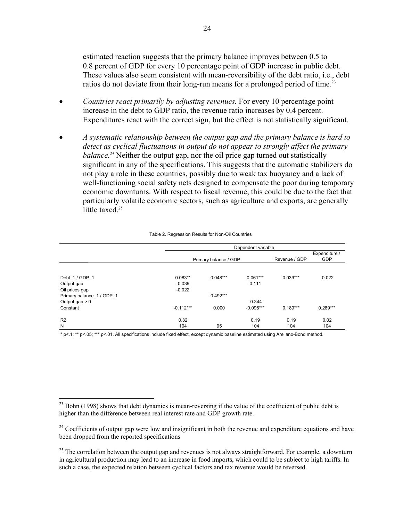estimated reaction suggests that the primary balance improves between 0.5 to 0.8 percent of GDP for every 10 percentage point of GDP increase in public debt. These values also seem consistent with mean-reversibility of the debt ratio, i.e., debt ratios do not deviate from their long-run means for a prolonged period of time*.* 23

- *Countries react primarily by adjusting revenues.* For every 10 percentage point increase in the debt to GDP ratio, the revenue ratio increases by 0.4 percent. Expenditures react with the correct sign, but the effect is not statistically significant.
- *A systematic relationship between the output gap and the primary balance is hard to detect as cyclical fluctuations in output do not appear to strongly affect the primary balance.24* Neither the output gap, nor the oil price gap turned out statistically significant in any of the specifications. This suggests that the automatic stabilizers do not play a role in these countries, possibly due to weak tax buoyancy and a lack of well-functioning social safety nets designed to compensate the poor during temporary economic downturns. With respect to fiscal revenue, this could be due to the fact that particularly volatile economic sectors, such as agriculture and exports, are generally little taxed.<sup>25</sup>

|                         | Dependent variable |                       |             |               |               |  |  |  |
|-------------------------|--------------------|-----------------------|-------------|---------------|---------------|--|--|--|
|                         |                    |                       |             |               | Expenditure / |  |  |  |
|                         |                    | Primary balance / GDP |             | Revenue / GDP | <b>GDP</b>    |  |  |  |
|                         |                    |                       |             |               |               |  |  |  |
| Debt_1 / GDP_1          | $0.083**$          | $0.048***$            | $0.061***$  | $0.039***$    | $-0.022$      |  |  |  |
| Output gap              | $-0.039$           |                       | 0.111       |               |               |  |  |  |
| Oil prices gap          | $-0.022$           |                       |             |               |               |  |  |  |
| Primary balance 1/GDP 1 |                    | $0.492***$            |             |               |               |  |  |  |
| Output gap $> 0$        |                    |                       | $-0.344$    |               |               |  |  |  |
| Constant                | $-0.112***$        | 0.000                 | $-0.096***$ | $0.189***$    | $0.289***$    |  |  |  |
| R <sub>2</sub>          | 0.32               |                       | 0.19        | 0.19          | 0.02          |  |  |  |
| N                       | 104                | 95                    | 104         | 104           | 104           |  |  |  |

#### Table 2. Regression Results for Non-Oil Countries

\* p<.1; \*\* p<.05; \*\*\* p<.01. All specifications include fixed effect, except dynamic baseline estimated using Arellano-Bond method.

1

 $^{23}$  Bohn (1998) shows that debt dynamics is mean-reversing if the value of the coefficient of public debt is higher than the difference between real interest rate and GDP growth rate.

<sup>&</sup>lt;sup>24</sup> Coefficients of output gap were low and insignificant in both the revenue and expenditure equations and have been dropped from the reported specifications

 $25$  The correlation between the output gap and revenues is not always straightforward. For example, a downturn in agricultural production may lead to an increase in food imports, which could to be subject to high tariffs. In such a case, the expected relation between cyclical factors and tax revenue would be reversed.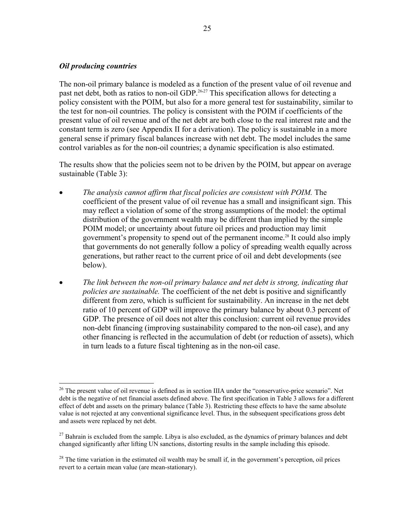#### *Oil producing countries*

1

The non-oil primary balance is modeled as a function of the present value of oil revenue and past net debt, both as ratios to non-oil GDP.<sup>26,27</sup> This specification allows for detecting a policy consistent with the POIM, but also for a more general test for sustainability, similar to the test for non-oil countries. The policy is consistent with the POIM if coefficients of the present value of oil revenue and of the net debt are both close to the real interest rate and the constant term is zero (see Appendix II for a derivation). The policy is sustainable in a more general sense if primary fiscal balances increase with net debt. The model includes the same control variables as for the non-oil countries; a dynamic specification is also estimated.

The results show that the policies seem not to be driven by the POIM, but appear on average sustainable (Table 3):

- *The analysis cannot affirm that fiscal policies are consistent with POIM.* The coefficient of the present value of oil revenue has a small and insignificant sign. This may reflect a violation of some of the strong assumptions of the model: the optimal distribution of the government wealth may be different than implied by the simple POIM model; or uncertainty about future oil prices and production may limit government's propensity to spend out of the permanent income.<sup>28</sup> It could also imply that governments do not generally follow a policy of spreading wealth equally across generations, but rather react to the current price of oil and debt developments (see below).
- *The link between the non-oil primary balance and net debt is strong, indicating that policies are sustainable.* The coefficient of the net debt is positive and significantly different from zero, which is sufficient for sustainability. An increase in the net debt ratio of 10 percent of GDP will improve the primary balance by about 0.3 percent of GDP. The presence of oil does not alter this conclusion: current oil revenue provides non-debt financing (improving sustainability compared to the non-oil case), and any other financing is reflected in the accumulation of debt (or reduction of assets), which in turn leads to a future fiscal tightening as in the non-oil case.

<sup>&</sup>lt;sup>26</sup> The present value of oil revenue is defined as in section IIIA under the "conservative-price scenario". Net debt is the negative of net financial assets defined above. The first specification in Table 3 allows for a different effect of debt and assets on the primary balance (Table 3). Restricting these effects to have the same absolute value is not rejected at any conventional significance level. Thus, in the subsequent specifications gross debt and assets were replaced by net debt.

 $^{27}$  Bahrain is excluded from the sample. Libya is also excluded, as the dynamics of primary balances and debt changed significantly after lifting UN sanctions, distorting results in the sample including this episode.

<sup>&</sup>lt;sup>28</sup> The time variation in the estimated oil wealth may be small if, in the government's perception, oil prices revert to a certain mean value (are mean-stationary).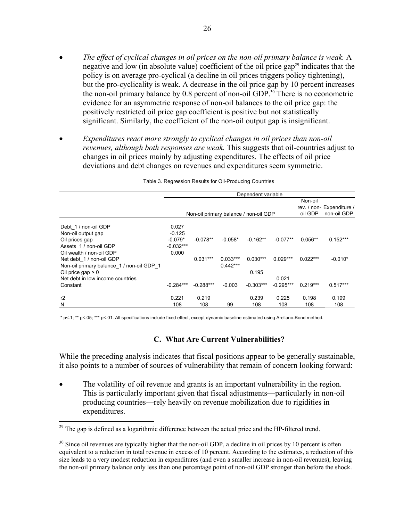- *The effect of cyclical changes in oil prices on the non-oil primary balance is weak.* A negative and low (in absolute value) coefficient of the oil price  $\gamma$ <sup>29</sup> indicates that the policy is on average pro-cyclical (a decline in oil prices triggers policy tightening), but the pro-cyclicality is weak. A decrease in the oil price gap by 10 percent increases the non-oil primary balance by 0.8 percent of non-oil GDP.<sup>30</sup> There is no econometric evidence for an asymmetric response of non-oil balances to the oil price gap: the positively restricted oil price gap coefficient is positive but not statistically significant. Similarly, the coefficient of the non-oil output gap is insignificant.
- *Expenditures react more strongly to cyclical changes in oil prices than non-oil revenues, although both responses are weak.* This suggests that oil-countries adjust to changes in oil prices mainly by adjusting expenditures. The effects of oil price deviations and debt changes on revenues and expenditures seem symmetric.

|                                           | Dependent variable                    |             |            |             |             |            |                           |  |
|-------------------------------------------|---------------------------------------|-------------|------------|-------------|-------------|------------|---------------------------|--|
|                                           |                                       |             |            |             |             | Non-oil    |                           |  |
|                                           |                                       |             |            |             |             |            | rev. / non- Expenditure / |  |
|                                           | Non-oil primary balance / non-oil GDP |             |            |             |             | oil GDP    | non-oil GDP               |  |
|                                           |                                       |             |            |             |             |            |                           |  |
| Debt 1 / non-oil GDP                      | 0.027                                 |             |            |             |             |            |                           |  |
| Non-oil output gap                        | $-0.125$                              |             |            |             |             |            |                           |  |
| Oil prices gap                            | $-0.079*$                             | $-0.078**$  | $-0.058*$  | $-0.162**$  | $-0.077**$  | $0.056**$  | $0.152***$                |  |
| Assets 1 / non-oil GDP                    | $-0.032***$                           |             |            |             |             |            |                           |  |
| Oil wealth / non-oil GDP                  | 0.000                                 |             |            |             |             |            |                           |  |
| Net debt 1 / non-oil GDP                  |                                       | $0.031***$  | $0.033***$ | $0.030***$  | $0.029***$  | $0.022***$ | $-0.010*$                 |  |
| Non-oil primary balance 1 / non-oil GDP 1 |                                       |             | $0.442***$ |             |             |            |                           |  |
| Oil price gap $> 0$                       |                                       |             |            | 0.195       |             |            |                           |  |
| Net debt in low income countries          |                                       |             |            |             | 0.021       |            |                           |  |
| Constant                                  | $-0.284***$                           | $-0.288***$ | $-0.003$   | $-0.303***$ | $-0.295***$ | $0.219***$ | $0.517***$                |  |
| r2                                        | 0.221                                 | 0.219       |            | 0.239       | 0.225       | 0.198      | 0.199                     |  |
| N                                         | 108                                   | 108         | 99         | 108         | 108         | 108        | 108                       |  |

Table 3. Regression Results for Oil-Producing Countries

\* p<.1; \*\* p<.05; \*\*\* p<.01. All specifications include fixed effect, except dynamic baseline estimated using Arellano-Bond method.

#### **C. What Are Current Vulnerabilities?**

While the preceding analysis indicates that fiscal positions appear to be generally sustainable, it also points to a number of sources of vulnerability that remain of concern looking forward:

The volatility of oil revenue and grants is an important vulnerability in the region. This is particularly important given that fiscal adjustments—particularly in non-oil producing countries—rely heavily on revenue mobilization due to rigidities in expenditures.

1

 $29$  The gap is defined as a logarithmic difference between the actual price and the HP-filtered trend.

 $30$  Since oil revenues are typically higher that the non-oil GDP, a decline in oil prices by 10 percent is often equivalent to a reduction in total revenue in excess of 10 percent. According to the estimates, a reduction of this size leads to a very modest reduction in expenditures (and even a smaller increase in non-oil revenues), leaving the non-oil primary balance only less than one percentage point of non-oil GDP stronger than before the shock.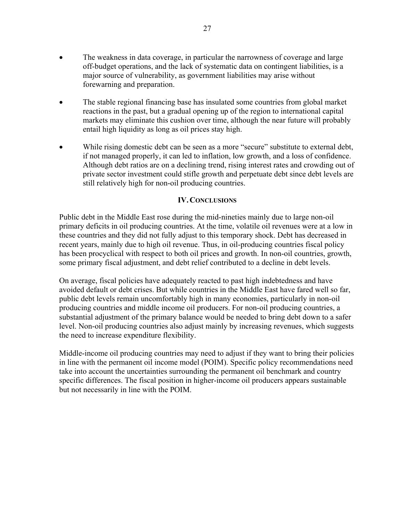- The weakness in data coverage, in particular the narrowness of coverage and large off-budget operations, and the lack of systematic data on contingent liabilities, is a major source of vulnerability, as government liabilities may arise without forewarning and preparation.
- The stable regional financing base has insulated some countries from global market reactions in the past, but a gradual opening up of the region to international capital markets may eliminate this cushion over time, although the near future will probably entail high liquidity as long as oil prices stay high.
- While rising domestic debt can be seen as a more "secure" substitute to external debt, if not managed properly, it can led to inflation, low growth, and a loss of confidence. Although debt ratios are on a declining trend, rising interest rates and crowding out of private sector investment could stifle growth and perpetuate debt since debt levels are still relatively high for non-oil producing countries.

### **IV.CONCLUSIONS**

Public debt in the Middle East rose during the mid-nineties mainly due to large non-oil primary deficits in oil producing countries. At the time, volatile oil revenues were at a low in these countries and they did not fully adjust to this temporary shock. Debt has decreased in recent years, mainly due to high oil revenue. Thus, in oil-producing countries fiscal policy has been procyclical with respect to both oil prices and growth. In non-oil countries, growth, some primary fiscal adjustment, and debt relief contributed to a decline in debt levels.

On average, fiscal policies have adequately reacted to past high indebtedness and have avoided default or debt crises. But while countries in the Middle East have fared well so far, public debt levels remain uncomfortably high in many economies, particularly in non-oil producing countries and middle income oil producers. For non-oil producing countries, a substantial adjustment of the primary balance would be needed to bring debt down to a safer level. Non-oil producing countries also adjust mainly by increasing revenues, which suggests the need to increase expenditure flexibility.

Middle-income oil producing countries may need to adjust if they want to bring their policies in line with the permanent oil income model (POIM). Specific policy recommendations need take into account the uncertainties surrounding the permanent oil benchmark and country specific differences. The fiscal position in higher-income oil producers appears sustainable but not necessarily in line with the POIM.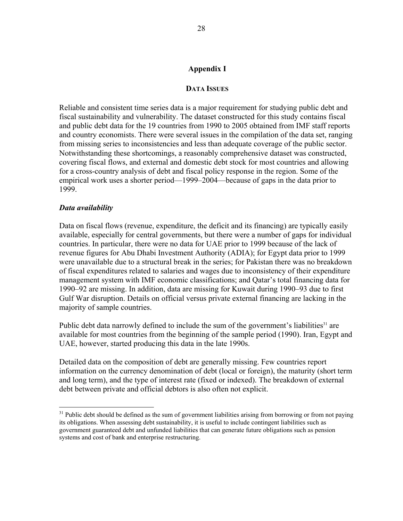## **Appendix I**

#### **DATA ISSUES**

Reliable and consistent time series data is a major requirement for studying public debt and fiscal sustainability and vulnerability. The dataset constructed for this study contains fiscal and public debt data for the 19 countries from 1990 to 2005 obtained from IMF staff reports and country economists. There were several issues in the compilation of the data set, ranging from missing series to inconsistencies and less than adequate coverage of the public sector. Notwithstanding these shortcomings, a reasonably comprehensive dataset was constructed, covering fiscal flows, and external and domestic debt stock for most countries and allowing for a cross-country analysis of debt and fiscal policy response in the region. Some of the empirical work uses a shorter period—1999–2004—because of gaps in the data prior to 1999.

#### *Data availability*

 $\overline{a}$ 

Data on fiscal flows (revenue, expenditure, the deficit and its financing) are typically easily available, especially for central governments, but there were a number of gaps for individual countries. In particular, there were no data for UAE prior to 1999 because of the lack of revenue figures for Abu Dhabi Investment Authority (ADIA); for Egypt data prior to 1999 were unavailable due to a structural break in the series; for Pakistan there was no breakdown of fiscal expenditures related to salaries and wages due to inconsistency of their expenditure management system with IMF economic classifications; and Qatar's total financing data for 1990–92 are missing. In addition, data are missing for Kuwait during 1990–93 due to first Gulf War disruption. Details on official versus private external financing are lacking in the majority of sample countries.

Public debt data narrowly defined to include the sum of the government's liabilities<sup>31</sup> are available for most countries from the beginning of the sample period (1990). Iran, Egypt and UAE, however, started producing this data in the late 1990s.

Detailed data on the composition of debt are generally missing. Few countries report information on the currency denomination of debt (local or foreign), the maturity (short term and long term), and the type of interest rate (fixed or indexed). The breakdown of external debt between private and official debtors is also often not explicit.

<sup>&</sup>lt;sup>31</sup> Public debt should be defined as the sum of government liabilities arising from borrowing or from not paying its obligations. When assessing debt sustainability, it is useful to include contingent liabilities such as government guaranteed debt and unfunded liabilities that can generate future obligations such as pension systems and cost of bank and enterprise restructuring.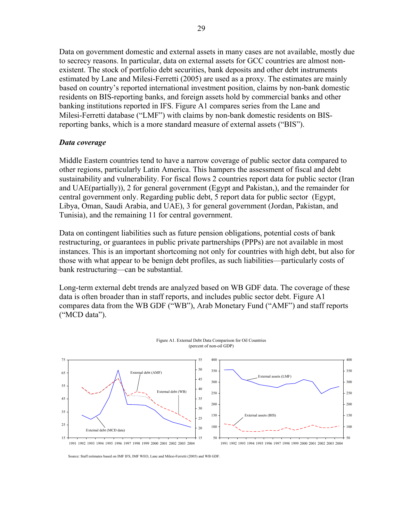Data on government domestic and external assets in many cases are not available, mostly due to secrecy reasons. In particular, data on external assets for GCC countries are almost nonexistent. The stock of portfolio debt securities, bank deposits and other debt instruments estimated by Lane and Milesi-Ferretti (2005) are used as a proxy. The estimates are mainly based on country's reported international investment position, claims by non-bank domestic residents on BIS-reporting banks, and foreign assets hold by commercial banks and other banking institutions reported in IFS. Figure A1 compares series from the Lane and Milesi-Ferretti database ("LMF") with claims by non-bank domestic residents on BISreporting banks, which is a more standard measure of external assets ("BIS").

## *Data coverage*

29

Middle Eastern countries tend to have a narrow coverage of public sector data compared to other regions, particularly Latin America. This hampers the assessment of fiscal and debt sustainability and vulnerability. For fiscal flows 2 countries report data for public sector (Iran and UAE(partially)), 2 for general government (Egypt and Pakistan,), and the remainder for central government only. Regarding public debt, 5 report data for public sector (Egypt, Libya, Oman, Saudi Arabia, and UAE), 3 for general government (Jordan, Pakistan, and Tunisia), and the remaining 11 for central government.

Data on contingent liabilities such as future pension obligations, potential costs of bank restructuring, or guarantees in public private partnerships (PPPs) are not available in most instances. This is an important shortcoming not only for countries with high debt, but also for those with what appear to be benign debt profiles, as such liabilities—particularly costs of bank restructuring—can be substantial.

Long-term external debt trends are analyzed based on WB GDF data. The coverage of these data is often broader than in staff reports, and includes public sector debt. Figure A1 compares data from the WB GDF ("WB"), Arab Monetary Fund ("AMF") and staff reports ("MCD data").



Source: Staff estimates based on IMF IFS, IMF WEO, Lane and Milesi-Ferretti (2005) and WB GDF.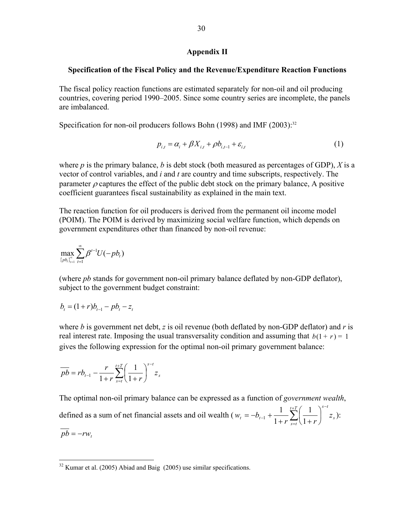#### **Appendix II**

#### **Specification of the Fiscal Policy and the Revenue/Expenditure Reaction Functions**

The fiscal policy reaction functions are estimated separately for non-oil and oil producing countries, covering period 1990–2005. Since some country series are incomplete, the panels are imbalanced.

Specification for non-oil producers follows Bohn (1998) and IMF (2003):<sup>32</sup>

$$
p_{i,t} = \alpha_i + \beta X_{i,t} + \rho b_{i,t-1} + \varepsilon_{i,t}
$$
 (1)

where  $p$  is the primary balance,  $b$  is debt stock (both measured as percentages of GDP),  $X$  is a vector of control variables, and *i* and *t* are country and time subscripts, respectively. The parameter  $\rho$  captures the effect of the public debt stock on the primary balance, A positive coefficient guarantees fiscal sustainability as explained in the main text.

The reaction function for oil producers is derived from the permanent oil income model (POIM). The POIM is derived by maximizing social welfare function, which depends on government expenditures other than financed by non-oil revenue:

$$
\max_{\{pb_i\}_{i=1}^\infty}\sum_{t=1}^\infty \beta^{t-1}U(-pb_t)
$$

(where *pb* stands for government non-oil primary balance deflated by non-GDP deflator), subject to the government budget constraint:

$$
b_t = (1+r)b_{t-1} - pb_t - z_t
$$

 $\overline{a}$ 

where *b* is government net debt, *z* is oil revenue (both deflated by non-GDP deflator) and *r* is real interest rate. Imposing the usual transversality condition and assuming that  $b(1 + r) = 1$ gives the following expression for the optimal non-oil primary government balance:

$$
\overline{pb} = rb_{t-1} - \frac{r}{1+r} \sum_{s=t}^{t+T} \left(\frac{1}{1+r}\right)^{s-t} z_s
$$

The optimal non-oil primary balance can be expressed as a function of *government wealth*, defined as a sum of net financial assets and oil wealth  $(w_t = -b_{t-1} + \frac{1}{1+...}) \left| \frac{1}{1+...} \right| z_s$  $t+T$   $\left(1\right)$   $\lambda^{s-t}$ *s t*  $t_{t} = -b_{t-1} + \frac{1}{1+r} \sum_{s=t} \left( \frac{1}{1+r} \right) z^{t}$  $w_t = -b$  $+T$  ( 1  $\lambda$ <sup>s-</sup>  $_{-1}$  +  $\frac{1}{1+r} \sum_{s=t} \left( \frac{1}{1+r} \right)$  $\left(\frac{1}{1}\right)$ ⎝  $=-b_{t-1} + \frac{1}{1+r} \sum_{s=t}^{t+T} \left( \frac{1}{1+r} \right)$ 1 1  $\frac{1}{1+\frac{1}{1+\cdots}}\sum_{i=1}^{t+T} \left(\frac{1}{1+\cdots}\right)^{s-i} z_s$ ):  $\overline{pb}$  = −*rw*<sub>t</sub>

 $32$  Kumar et al. (2005) Abiad and Baig (2005) use similar specifications.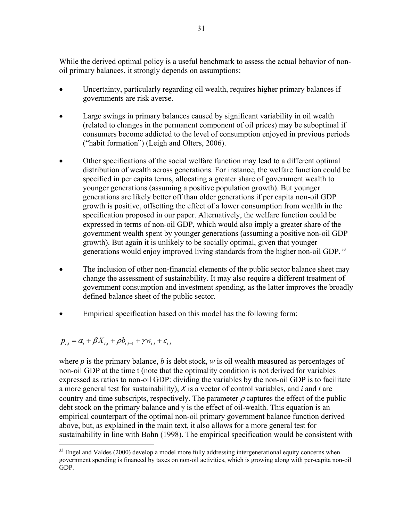While the derived optimal policy is a useful benchmark to assess the actual behavior of nonoil primary balances, it strongly depends on assumptions:

- Uncertainty, particularly regarding oil wealth, requires higher primary balances if governments are risk averse.
- Large swings in primary balances caused by significant variability in oil wealth (related to changes in the permanent component of oil prices) may be suboptimal if consumers become addicted to the level of consumption enjoyed in previous periods ("habit formation") (Leigh and Olters, 2006).
- Other specifications of the social welfare function may lead to a different optimal distribution of wealth across generations. For instance, the welfare function could be specified in per capita terms, allocating a greater share of government wealth to younger generations (assuming a positive population growth). But younger generations are likely better off than older generations if per capita non-oil GDP growth is positive, offsetting the effect of a lower consumption from wealth in the specification proposed in our paper. Alternatively, the welfare function could be expressed in terms of non-oil GDP, which would also imply a greater share of the government wealth spent by younger generations (assuming a positive non-oil GDP growth). But again it is unlikely to be socially optimal, given that younger generations would enjoy improved living standards from the higher non-oil GDP. 33
- The inclusion of other non-financial elements of the public sector balance sheet may change the assessment of sustainability. It may also require a different treatment of government consumption and investment spending, as the latter improves the broadly defined balance sheet of the public sector.
- Empirical specification based on this model has the following form:

$$
p_{i,t} = \alpha_i + \beta X_{i,t} + \rho b_{i,t-1} + \gamma w_{i,t} + \varepsilon_{i,t}
$$

where *p* is the primary balance, *b* is debt stock, *w* is oil wealth measured as percentages of non-oil GDP at the time t (note that the optimality condition is not derived for variables expressed as ratios to non-oil GDP: dividing the variables by the non-oil GDP is to facilitate a more general test for sustainability), *X* is a vector of control variables, and *i* and *t* are country and time subscripts, respectively. The parameter  $\rho$  captures the effect of the public debt stock on the primary balance and  $\gamma$  is the effect of oil-wealth. This equation is an empirical counterpart of the optimal non-oil primary government balance function derived above, but, as explained in the main text, it also allows for a more general test for sustainability in line with Bohn (1998). The empirical specification would be consistent with

 $\overline{a}$  $33$  Engel and Valdes (2000) develop a model more fully addressing intergenerational equity concerns when government spending is financed by taxes on non-oil activities, which is growing along with per-capita non-oil GDP.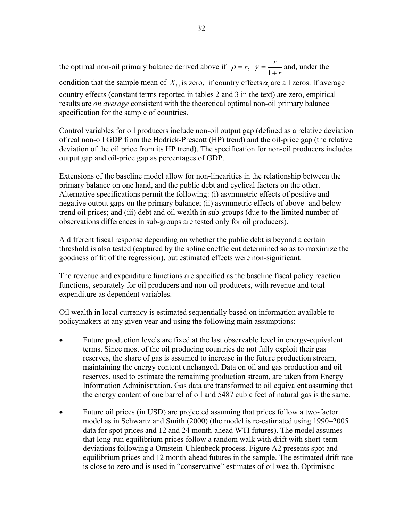the optimal non-oil primary balance derived above if  $\rho = r$ ,  $\gamma = \frac{r}{1+r}$  $\rho = r$ ,  $\gamma = \frac{r}{1+r}$  and, under the condition that the sample mean of  $X_{i,t}$  is zero, if country effects  $\alpha_i$  are all zeros. If average country effects (constant terms reported in tables 2 and 3 in the text) are zero, empirical results are *on average* consistent with the theoretical optimal non-oil primary balance specification for the sample of countries.

Control variables for oil producers include non-oil output gap (defined as a relative deviation of real non-oil GDP from the Hodrick-Prescott (HP) trend) and the oil-price gap (the relative deviation of the oil price from its HP trend). The specification for non-oil producers includes output gap and oil-price gap as percentages of GDP.

Extensions of the baseline model allow for non-linearities in the relationship between the primary balance on one hand, and the public debt and cyclical factors on the other. Alternative specifications permit the following: (i) asymmetric effects of positive and negative output gaps on the primary balance; (ii) asymmetric effects of above- and belowtrend oil prices; and (iii) debt and oil wealth in sub-groups (due to the limited number of observations differences in sub-groups are tested only for oil producers).

A different fiscal response depending on whether the public debt is beyond a certain threshold is also tested (captured by the spline coefficient determined so as to maximize the goodness of fit of the regression), but estimated effects were non-significant.

The revenue and expenditure functions are specified as the baseline fiscal policy reaction functions, separately for oil producers and non-oil producers, with revenue and total expenditure as dependent variables.

Oil wealth in local currency is estimated sequentially based on information available to policymakers at any given year and using the following main assumptions:

- Future production levels are fixed at the last observable level in energy-equivalent terms. Since most of the oil producing countries do not fully exploit their gas reserves, the share of gas is assumed to increase in the future production stream, maintaining the energy content unchanged. Data on oil and gas production and oil reserves, used to estimate the remaining production stream, are taken from Energy Information Administration. Gas data are transformed to oil equivalent assuming that the energy content of one barrel of oil and 5487 cubic feet of natural gas is the same.
- Future oil prices (in USD) are projected assuming that prices follow a two-factor model as in Schwartz and Smith (2000) (the model is re-estimated using 1990–2005 data for spot prices and 12 and 24 month-ahead WTI futures). The model assumes that long-run equilibrium prices follow a random walk with drift with short-term deviations following a Ornstein-Uhlenbeck process. Figure A2 presents spot and equilibrium prices and 12 month-ahead futures in the sample. The estimated drift rate is close to zero and is used in "conservative" estimates of oil wealth. Optimistic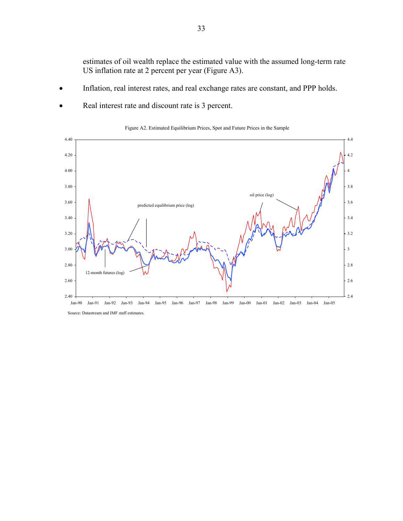estimates of oil wealth replace the estimated value with the assumed long-term rate US inflation rate at 2 percent per year (Figure A3).

- Inflation, real interest rates, and real exchange rates are constant, and PPP holds.
- Real interest rate and discount rate is 3 percent.



Figure A2. Estimated Equilibrium Prices, Spot and Future Prices in the Sample

Jan-90 Jan-91 Jan-92 Jan-93 Jan-94 Jan-95 Jan-96 Jan-97 Jan-98 Jan-99 Jan-00 Jan-01 Jan-02 Jan-03 Jan-04 Jan-05 Source: Datastream and IMF staff estimates.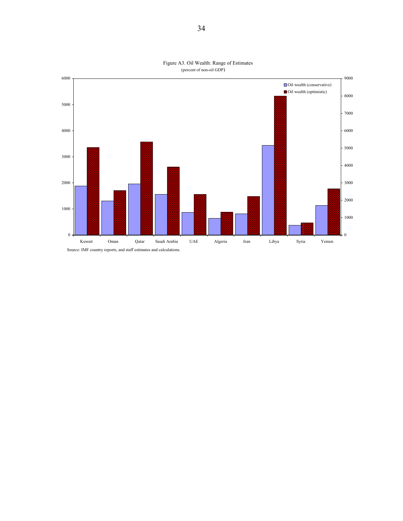

Figure A3. Oil Wealth: Range of Estimates (percent of non-oil GDP)

Source: IMF country reports, and staff estimates and calculations.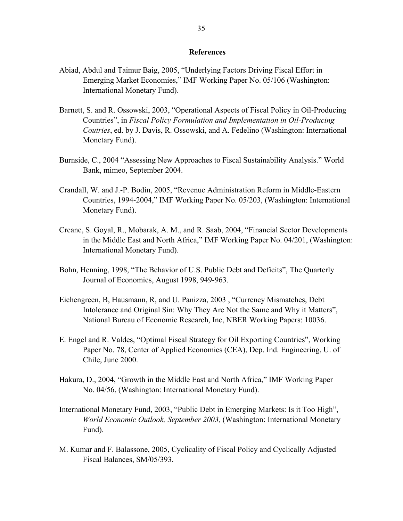#### **References**

- Abiad, Abdul and Taimur Baig, 2005, "Underlying Factors Driving Fiscal Effort in Emerging Market Economies," IMF Working Paper No. 05/106 (Washington: International Monetary Fund).
- Barnett, S. and R. Ossowski, 2003, "Operational Aspects of Fiscal Policy in Oil-Producing Countries", in *Fiscal Policy Formulation and Implementation in Oil-Producing Coutries*, ed. by J. Davis, R. Ossowski, and A. Fedelino (Washington: International Monetary Fund).
- Burnside, C., 2004 "Assessing New Approaches to Fiscal Sustainability Analysis." World Bank, mimeo, September 2004.
- Crandall, W. and J.-P. Bodin, 2005, "Revenue Administration Reform in Middle-Eastern Countries, 1994-2004," IMF Working Paper No. 05/203, (Washington: International Monetary Fund).
- Creane, S. Goyal, R., Mobarak, A. M., and R. Saab, 2004, "Financial Sector Developments in the Middle East and North Africa," IMF Working Paper No. 04/201, (Washington: International Monetary Fund).
- Bohn, Henning, 1998, "The Behavior of U.S. Public Debt and Deficits", The Quarterly Journal of Economics, August 1998, 949-963.
- Eichengreen, B, Hausmann, R, and U. Panizza, 2003 , "Currency Mismatches, Debt Intolerance and Original Sin: Why They Are Not the Same and Why it Matters", National Bureau of Economic Research, Inc, NBER Working Papers: 10036.
- E. Engel and R. Valdes, "Optimal Fiscal Strategy for Oil Exporting Countries", Working Paper No. 78, Center of Applied Economics (CEA), Dep. Ind. Engineering, U. of Chile, June 2000.
- Hakura, D., 2004, "Growth in the Middle East and North Africa," IMF Working Paper No. 04/56, (Washington: International Monetary Fund).
- International Monetary Fund, 2003, "Public Debt in Emerging Markets: Is it Too High", *World Economic Outlook, September 2003,* (Washington: International Monetary Fund).
- M. Kumar and F. Balassone, 2005, Cyclicality of Fiscal Policy and Cyclically Adjusted Fiscal Balances, SM/05/393.